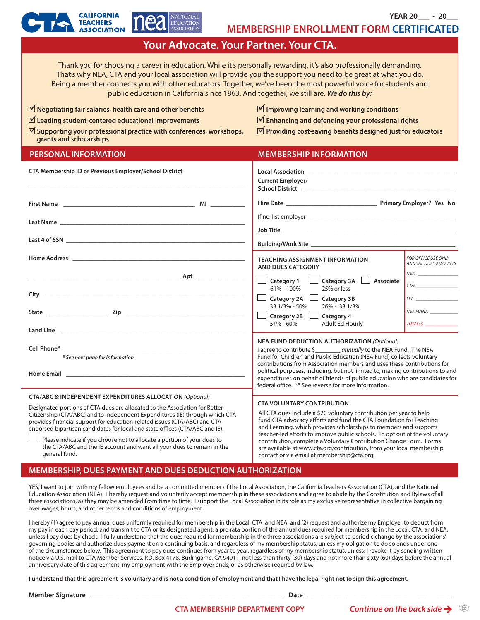**YEAR 20\_\_\_ - 20\_\_\_**

|                                                                                                                                                                                                                                                                                                                                                                                                                                                    | EDUCATION<br><b>MEMBERSHIP ENROLLMENT FORM CERTIFICATED</b>                                                                                                                                                                                                              |                                                                                                                                                                                                                                        |  |
|----------------------------------------------------------------------------------------------------------------------------------------------------------------------------------------------------------------------------------------------------------------------------------------------------------------------------------------------------------------------------------------------------------------------------------------------------|--------------------------------------------------------------------------------------------------------------------------------------------------------------------------------------------------------------------------------------------------------------------------|----------------------------------------------------------------------------------------------------------------------------------------------------------------------------------------------------------------------------------------|--|
| Your Advocate. Your Partner. Your CTA.                                                                                                                                                                                                                                                                                                                                                                                                             |                                                                                                                                                                                                                                                                          |                                                                                                                                                                                                                                        |  |
| Thank you for choosing a career in education. While it's personally rewarding, it's also professionally demanding.<br>That's why NEA, CTA and your local association will provide you the support you need to be great at what you do.<br>Being a member connects you with other educators. Together, we've been the most powerful voice for students and<br>public education in California since 1863. And together, we still are. We do this by: |                                                                                                                                                                                                                                                                          |                                                                                                                                                                                                                                        |  |
| $\triangledown$ Negotiating fair salaries, health care and other benefits                                                                                                                                                                                                                                                                                                                                                                          | $\triangledown$ Improving learning and working conditions                                                                                                                                                                                                                |                                                                                                                                                                                                                                        |  |
| $\blacktriangledown$ Leading student-centered educational improvements                                                                                                                                                                                                                                                                                                                                                                             | $\mathbf{\nabla}$ Enhancing and defending your professional rights                                                                                                                                                                                                       |                                                                                                                                                                                                                                        |  |
| $\blacktriangledown$ Supporting your professional practice with conferences, workshops,<br>grants and scholarships                                                                                                                                                                                                                                                                                                                                 | $\triangledown$ Providing cost-saving benefits designed just for educators                                                                                                                                                                                               |                                                                                                                                                                                                                                        |  |
| <b>PERSONAL INFORMATION</b>                                                                                                                                                                                                                                                                                                                                                                                                                        | <b>MEMBERSHIP INFORMATION</b>                                                                                                                                                                                                                                            |                                                                                                                                                                                                                                        |  |
| CTA Membership ID or Previous Employer/School District                                                                                                                                                                                                                                                                                                                                                                                             | <b>Current Employer/</b><br>School District <b>Executive School District</b>                                                                                                                                                                                             |                                                                                                                                                                                                                                        |  |
|                                                                                                                                                                                                                                                                                                                                                                                                                                                    |                                                                                                                                                                                                                                                                          |                                                                                                                                                                                                                                        |  |
|                                                                                                                                                                                                                                                                                                                                                                                                                                                    |                                                                                                                                                                                                                                                                          |                                                                                                                                                                                                                                        |  |
|                                                                                                                                                                                                                                                                                                                                                                                                                                                    |                                                                                                                                                                                                                                                                          |                                                                                                                                                                                                                                        |  |
| <u>Aptique de la contrada de la contrada de la contrada de la contrada de la contrada de la contrada de la contra</u>                                                                                                                                                                                                                                                                                                                              | <b>TEACHING ASSIGNMENT INFORMATION</b><br><b>AND DUES CATEGORY</b>                                                                                                                                                                                                       | FOR OFFICE USE ONLY<br><b>ANNUAL DUES AMOUNTS</b>                                                                                                                                                                                      |  |
|                                                                                                                                                                                                                                                                                                                                                                                                                                                    | Category 1<br>Category 3A<br>Associate<br>61% - 100%<br>25% or less<br><b>Category 2A</b><br><b>Category 3B</b><br>$\Box$                                                                                                                                                | CTA:<br>LEA: The contract of the contract of the contract of the contract of the contract of the contract of the contract of the contract of the contract of the contract of the contract of the contract of the contract of the contr |  |
|                                                                                                                                                                                                                                                                                                                                                                                                                                                    | 33 1/3% - 50%<br>26% - 33 1/3%<br>Category 2B<br>Category 4                                                                                                                                                                                                              | <b>NEA FUND:</b><br>$\overline{TOTAL}: \xi$                                                                                                                                                                                            |  |
|                                                                                                                                                                                                                                                                                                                                                                                                                                                    | Adult Ed Hourly<br>51% - 60%                                                                                                                                                                                                                                             |                                                                                                                                                                                                                                        |  |
| Cell Phone*<br>* See next page for information                                                                                                                                                                                                                                                                                                                                                                                                     | <b>NEA FUND DEDUCTION AUTHORIZATION (Optional)</b><br>I agree to contribute \$<br>_ annually to the NEA Fund. The NEA<br>Fund for Children and Public Education (NEA Fund) collects voluntary<br>contributions from Association members and uses these contributions for |                                                                                                                                                                                                                                        |  |

#### **CTA/ABC & INDEPENDENT EXPENDITURES ALLOCATION** *(Optional)*

Designated portions of CTA dues are allocated to the Association for Better Citizenship (CTA/ABC) and to Independent Expenditures (IE) through which CTA provides financial support for education-related issues (CTA/ABC) and CTAendorsed bipartisan candidates for local and state offices (CTA/ABC and IE).

#### **CTA VOLUNTARY CONTRIBUTION**

federal office. \*\* See reverse for more information.

All CTA dues include a \$20 voluntary contribution per year to help fund CTA advocacy efforts and fund the CTA Foundation for Teaching and Learning, which provides scholarships to members and supports teacher-led efforts to improve public schools. To opt out of the voluntary contribution, complete a Voluntary Contribution Change Form. Forms are available at www.cta.org/contribution, from your local membership contact or via email at membership@cta.org.

political purposes, including, but not limited to, making contributions to and expenditures on behalf of friends of public education who are candidates for

Please indicate if you choose not to allocate a portion of your dues to the CTA/ABC and the IE account and want all your dues to remain in the general fund.

## **MEMBERSHIP, DUES PAYMENT AND DUES DEDUCTION AUTHORIZATION**

NATIONAL

**CALIFORNIA** 

YES, I want to join with my fellow employees and be a committed member of the Local Association, the California Teachers Association (CTA), and the National Education Association (NEA). I hereby request and voluntarily accept membership in these associations and agree to abide by the Constitution and Bylaws of all three associations, as they may be amended from time to time. I support the Local Association in its role as my exclusive representative in collective bargaining over wages, hours, and other terms and conditions of employment.

I hereby (1) agree to pay annual dues uniformly required for membership in the Local, CTA, and NEA; and (2) request and authorize my Employer to deduct from my pay in each pay period, and transmit to CTA or its designated agent, a pro rata portion of the annual dues required for membership in the Local, CTA, and NEA, unless I pay dues by check. I fully understand that the dues required for membership in the three associations are subject to periodic change by the associations' governing bodies and authorize dues payment on a continuing basis, and regardless of my membership status, unless my obligation to do so ends under one of the circumstances below. This agreement to pay dues continues from year to year, regardless of my membership status, unless: I revoke it by sending written notice via U.S. mail to CTA Member Services, P.O. Box 4178, Burlingame, CA 94011, not less than thirty (30) days and not more than sixty (60) days before the annual anniversary date of this agreement; my employment with the Employer ends; or as otherwise required by law.

**I understand that this agreement is voluntary and is not a condition of employment and that I have the legal right not to sign this agreement.**

**Member Signature** \_\_\_\_\_\_\_\_\_\_\_\_\_\_\_\_\_\_\_\_\_\_\_\_\_\_\_\_\_\_\_\_\_\_\_\_\_\_\_\_\_\_\_\_\_\_\_\_\_\_\_\_\_\_\_\_\_\_\_\_\_ **Date** \_\_\_\_\_\_\_\_\_\_\_\_\_\_\_\_\_\_\_\_\_\_\_\_\_\_\_\_\_\_\_\_\_\_\_\_\_\_\_\_\_\_\_\_\_\_

**Home Email \_\_\_\_\_\_\_\_\_\_\_\_\_\_\_\_\_\_\_\_\_\_\_\_\_\_\_\_\_\_\_\_\_\_\_\_\_\_\_\_\_\_\_\_\_\_\_\_\_\_\_\_\_\_\_\_\_**

 $\triangledown$ ü  $\boxed{\mathbf{v}}$ 

**CTA MEMBERSHIP DEPARTMENT COPY** *Continue on the back side* $\rightarrow$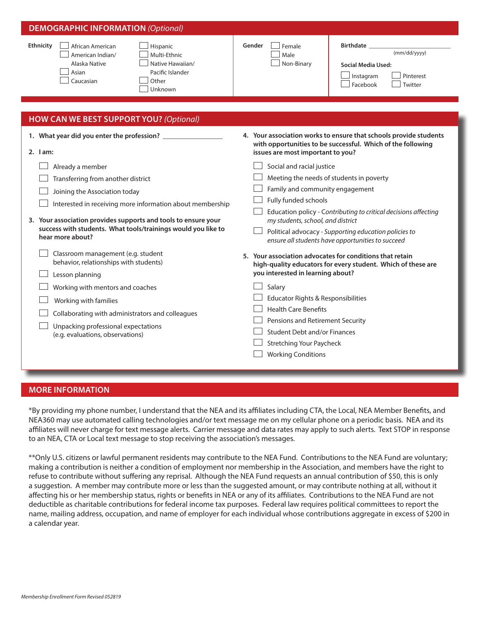| <b>DEMOGRAPHIC INFORMATION (Optional)</b>                                                                                                                                                                                                                                                                                                                                                                                                                                                  |                                                                                                                                                                                                                                                                                                                                                                                                                                                                                                                                                                                                                                                                                                                                                  |  |
|--------------------------------------------------------------------------------------------------------------------------------------------------------------------------------------------------------------------------------------------------------------------------------------------------------------------------------------------------------------------------------------------------------------------------------------------------------------------------------------------|--------------------------------------------------------------------------------------------------------------------------------------------------------------------------------------------------------------------------------------------------------------------------------------------------------------------------------------------------------------------------------------------------------------------------------------------------------------------------------------------------------------------------------------------------------------------------------------------------------------------------------------------------------------------------------------------------------------------------------------------------|--|
| Ethnicity<br>African American<br>Hispanic<br>Multi-Ethnic<br>American Indian/<br>Native Hawaiian/<br>Alaska Native<br>Asian<br>Pacific Islander<br>Caucasian<br>Other<br>Unknown                                                                                                                                                                                                                                                                                                           | Gender<br>Birthdate _<br>Female<br>(mm/dd/yyyy)<br>Male<br>Non-Binary<br>Social Media Used:<br>Instagram<br>Pinterest<br>Facebook<br>Twitter                                                                                                                                                                                                                                                                                                                                                                                                                                                                                                                                                                                                     |  |
| <b>HOW CAN WE BEST SUPPORT YOU? (Optional)</b>                                                                                                                                                                                                                                                                                                                                                                                                                                             |                                                                                                                                                                                                                                                                                                                                                                                                                                                                                                                                                                                                                                                                                                                                                  |  |
| $2.$ $lam:$<br>Already a member<br>Transferring from another district<br>Joining the Association today<br>Interested in receiving more information about membership<br>3. Your association provides supports and tools to ensure your<br>success with students. What tools/trainings would you like to<br>hear more about?<br>Classroom management (e.g. student<br>behavior, relationships with students)<br>Lesson planning<br>Working with mentors and coaches<br>Working with families | 4. Your association works to ensure that schools provide students<br>with opportunities to be successful. Which of the following<br>issues are most important to you?<br>Social and racial justice<br>Meeting the needs of students in poverty<br>Family and community engagement<br>Fully funded schools<br>Education policy - Contributing to critical decisions affecting<br>my students, school, and district<br>Political advocacy - Supporting education policies to<br>ensure all students have opportunities to succeed<br>5. Your association advocates for conditions that retain<br>high-quality educators for every student. Which of these are<br>you interested in learning about?<br>Salary<br>Educator Rights & Responsibilities |  |
| Collaborating with administrators and colleagues<br>Unpacking professional expectations<br>(e.g. evaluations, observations)                                                                                                                                                                                                                                                                                                                                                                | <b>Health Care Benefits</b><br>Pensions and Retirement Security<br><b>Student Debt and/or Finances</b><br><b>Stretching Your Paycheck</b><br><b>Working Conditions</b>                                                                                                                                                                                                                                                                                                                                                                                                                                                                                                                                                                           |  |

# **MORE INFORMATION**

\*By providing my phone number, I understand that the NEA and its affiliates including CTA, the Local, NEA Member Benefits, and NEA360 may use automated calling technologies and/or text message me on my cellular phone on a periodic basis. NEA and its affiliates will never charge for text message alerts. Carrier message and data rates may apply to such alerts. Text STOP in response to an NEA, CTA or Local text message to stop receiving the association's messages.

\*\*Only U.S. citizens or lawful permanent residents may contribute to the NEA Fund. Contributions to the NEA Fund are voluntary; making a contribution is neither a condition of employment nor membership in the Association, and members have the right to refuse to contribute without suffering any reprisal. Although the NEA Fund requests an annual contribution of \$50, this is only a suggestion. A member may contribute more or less than the suggested amount, or may contribute nothing at all, without it affecting his or her membership status, rights or benefits in NEA or any of its affiliates. Contributions to the NEA Fund are not deductible as charitable contributions for federal income tax purposes. Federal law requires political committees to report the name, mailing address, occupation, and name of employer for each individual whose contributions aggregate in excess of \$200 in a calendar year.